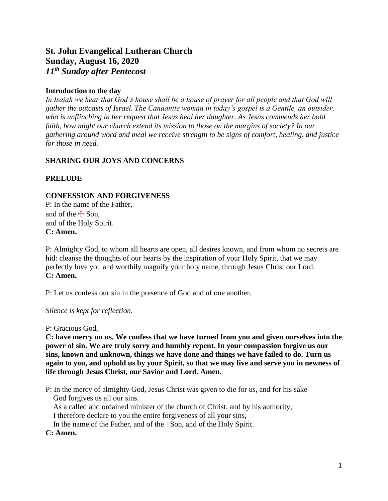## **St. John Evangelical Lutheran Church Sunday, August 16, 2020** *11 th Sunday after Pentecost*

## **Introduction to the day**

*In Isaiah we hear that God's house shall be a house of prayer for all people and that God will gather the outcasts of Israel. The Canaanite woman in today's gospel is a Gentile, an outsider, who is unflinching in her request that Jesus heal her daughter. As Jesus commends her bold faith, how might our church extend its mission to those on the margins of society? In our gathering around word and meal we receive strength to be signs of comfort, healing, and justice for those in need.*

## **SHARING OUR JOYS AND CONCERNS**

## **PRELUDE**

## **CONFESSION AND FORGIVENESS**

P: In the name of the Father, and of the  $\pm$  Son, and of the Holy Spirit. **C: Amen.**

P: Almighty God, to whom all hearts are open, all desires known, and from whom no secrets are hid: cleanse the thoughts of our hearts by the inspiration of your Holy Spirit, that we may perfectly love you and worthily magnify your holy name, through Jesus Christ our Lord. **C: Amen.**

P: Let us confess our sin in the presence of God and of one another.

*Silence is kept for reflection.*

P: Gracious God,

**C: have mercy on us. We confess that we have turned from you and given ourselves into the power of sin. We are truly sorry and humbly repent. In your compassion forgive us our sins, known and unknown, things we have done and things we have failed to do. Turn us again to you, and uphold us by your Spirit, so that we may live and serve you in newness of life through Jesus Christ, our Savior and Lord. Amen.**

P: In the mercy of almighty God, Jesus Christ was given to die for us, and for his sake God forgives us all our sins. As a called and ordained minister of the church of Christ, and by his authority,

I therefore declare to you the entire forgiveness of all your sins,

In the name of the Father, and of the +Son, and of the Holy Spirit.

#### **C: Amen.**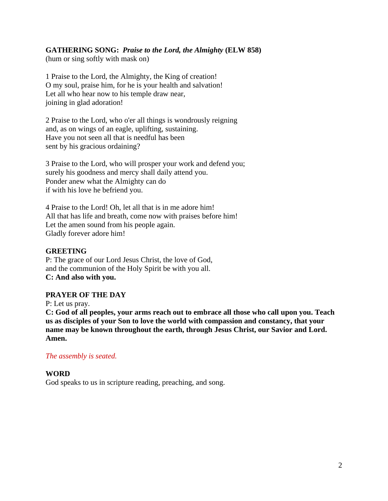## **GATHERING SONG:** *Praise to the Lord, the Almighty* **(ELW 858)**

(hum or sing softly with mask on)

1 Praise to the Lord, the Almighty, the King of creation! O my soul, praise him, for he is your health and salvation! Let all who hear now to his temple draw near, joining in glad adoration!

2 Praise to the Lord, who o'er all things is wondrously reigning and, as on wings of an eagle, uplifting, sustaining. Have you not seen all that is needful has been sent by his gracious ordaining?

3 Praise to the Lord, who will prosper your work and defend you; surely his goodness and mercy shall daily attend you. Ponder anew what the Almighty can do if with his love he befriend you.

4 Praise to the Lord! Oh, let all that is in me adore him! All that has life and breath, come now with praises before him! Let the amen sound from his people again. Gladly forever adore him!

#### **GREETING**

P: The grace of our Lord Jesus Christ, the love of God, and the communion of the Holy Spirit be with you all. **C: And also with you.**

#### **PRAYER OF THE DAY**

P: Let us pray.

**C: God of all peoples, your arms reach out to embrace all those who call upon you. Teach us as disciples of your Son to love the world with compassion and constancy, that your name may be known throughout the earth, through Jesus Christ, our Savior and Lord. Amen.**

## *The assembly is seated.*

## **WORD**

God speaks to us in scripture reading, preaching, and song.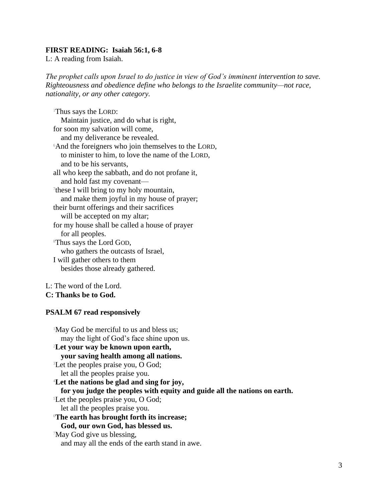#### **FIRST READING: Isaiah 56:1, 6-8**

L: A reading from Isaiah.

*The prophet calls upon Israel to do justice in view of God's imminent intervention to save. Righteousness and obedience define who belongs to the Israelite community—not race, nationality, or any other category.*

<sup>1</sup>Thus says the LORD: Maintain justice, and do what is right, for soon my salvation will come, and my deliverance be revealed. <sup>6</sup>And the foreigners who join themselves to the LORD, to minister to him, to love the name of the LORD, and to be his servants, all who keep the sabbath, and do not profane it, and hold fast my covenant— 7 these I will bring to my holy mountain, and make them joyful in my house of prayer; their burnt offerings and their sacrifices will be accepted on my altar; for my house shall be called a house of prayer for all peoples. <sup>8</sup>Thus says the Lord GOD, who gathers the outcasts of Israel, I will gather others to them besides those already gathered.

L: The word of the Lord.

**C: Thanks be to God.**

#### **PSALM 67 read responsively**

<sup>1</sup>May God be merciful to us and bless us; may the light of God's face shine upon us. <sup>2</sup>**Let your way be known upon earth, your saving health among all nations.** <sup>3</sup>Let the peoples praise you, O God; let all the peoples praise you. <sup>4</sup>**Let the nations be glad and sing for joy, for you judge the peoples with equity and guide all the nations on earth.** <sup>5</sup>Let the peoples praise you, O God; let all the peoples praise you. <sup>6</sup>**The earth has brought forth its increase; God, our own God, has blessed us.** <sup>7</sup>May God give us blessing, and may all the ends of the earth stand in awe.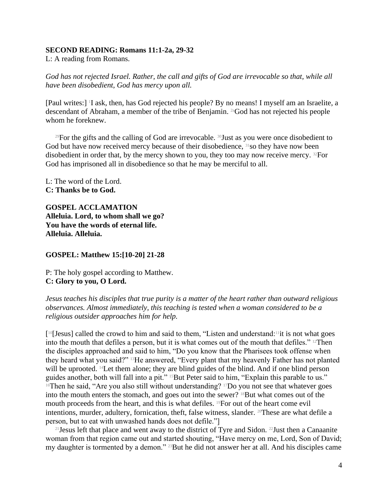#### **SECOND READING: Romans 11:1-2a, 29-32**

L: A reading from Romans.

*God has not rejected Israel. Rather, the call and gifts of God are irrevocable so that, while all have been disobedient, God has mercy upon all.*

[Paul writes:] <sup>1</sup>I ask, then, has God rejected his people? By no means! I myself am an Israelite, a descendant of Abraham, a member of the tribe of Benjamin. 2aGod has not rejected his people whom he foreknew.

<sup>29</sup>For the gifts and the calling of God are irrevocable.  $30$ Just as you were once disobedient to God but have now received mercy because of their disobedience, <sup>31</sup>so they have now been disobedient in order that, by the mercy shown to you, they too may now receive mercy. 32For God has imprisoned all in disobedience so that he may be merciful to all.

L: The word of the Lord. **C: Thanks be to God.**

**GOSPEL ACCLAMATION Alleluia. Lord, to whom shall we go? You have the words of eternal life. Alleluia. Alleluia.**

**GOSPEL: Matthew 15:[10-20] 21-28**

P: The holy gospel according to Matthew. **C: Glory to you, O Lord.**

*Jesus teaches his disciples that true purity is a matter of the heart rather than outward religious observances. Almost immediately, this teaching is tested when a woman considered to be a religious outsider approaches him for help.*

[ <sup>10</sup>[Jesus] called the crowd to him and said to them, "Listen and understand:11it is not what goes into the mouth that defiles a person, but it is what comes out of the mouth that defiles." 12Then the disciples approached and said to him, "Do you know that the Pharisees took offense when they heard what you said?" 13He answered, "Every plant that my heavenly Father has not planted will be uprooted. <sup>14</sup>Let them alone; they are blind guides of the blind. And if one blind person guides another, both will fall into a pit." <sup>15</sup>But Peter said to him, "Explain this parable to us." <sup>16</sup>Then he said, "Are you also still without understanding? <sup>17</sup>Do you not see that whatever goes into the mouth enters the stomach, and goes out into the sewer? <sup>18</sup>But what comes out of the mouth proceeds from the heart, and this is what defiles. 19For out of the heart come evil intentions, murder, adultery, fornication, theft, false witness, slander. 20These are what defile a person, but to eat with unwashed hands does not defile."]

<sup>21</sup> Jesus left that place and went away to the district of Tyre and Sidon. <sup>22</sup> Just then a Canaanite woman from that region came out and started shouting, "Have mercy on me, Lord, Son of David; my daughter is tormented by a demon." 23But he did not answer her at all. And his disciples came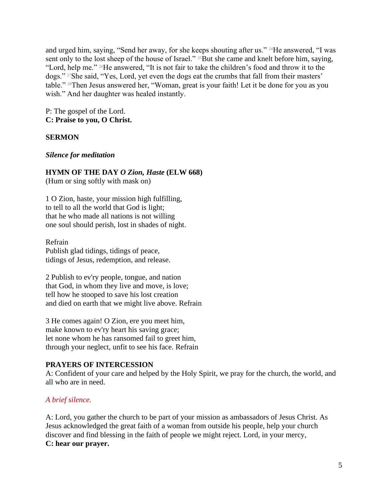and urged him, saying, "Send her away, for she keeps shouting after us." <sup>24</sup>He answered, "I was sent only to the lost sheep of the house of Israel." <sup>25</sup>But she came and knelt before him, saying, "Lord, help me." 26He answered, "It is not fair to take the children's food and throw it to the dogs." 27She said, "Yes, Lord, yet even the dogs eat the crumbs that fall from their masters' table." 28Then Jesus answered her, "Woman, great is your faith! Let it be done for you as you wish." And her daughter was healed instantly.

P: The gospel of the Lord. **C: Praise to you, O Christ.**

## **SERMON**

#### *Silence for meditation*

#### **HYMN OF THE DAY** *O Zion, Haste* **(ELW 668)**

(Hum or sing softly with mask on)

1 O Zion, haste, your mission high fulfilling, to tell to all the world that God is light; that he who made all nations is not willing one soul should perish, lost in shades of night.

Refrain Publish glad tidings, tidings of peace, tidings of Jesus, redemption, and release.

2 Publish to ev'ry people, tongue, and nation that God, in whom they live and move, is love; tell how he stooped to save his lost creation and died on earth that we might live above. Refrain

3 He comes again! O Zion, ere you meet him, make known to ev'ry heart his saving grace; let none whom he has ransomed fail to greet him, through your neglect, unfit to see his face. Refrain

#### **PRAYERS OF INTERCESSION**

A: Confident of your care and helped by the Holy Spirit, we pray for the church, the world, and all who are in need.

#### *A brief silence.*

A: Lord, you gather the church to be part of your mission as ambassadors of Jesus Christ. As Jesus acknowledged the great faith of a woman from outside his people, help your church discover and find blessing in the faith of people we might reject. Lord, in your mercy, **C: hear our prayer.**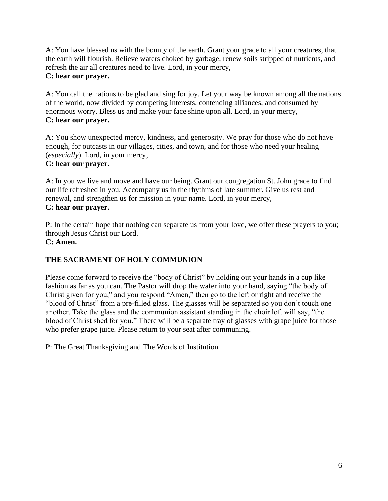A: You have blessed us with the bounty of the earth. Grant your grace to all your creatures, that the earth will flourish. Relieve waters choked by garbage, renew soils stripped of nutrients, and refresh the air all creatures need to live. Lord, in your mercy, **C: hear our prayer.**

A: You call the nations to be glad and sing for joy. Let your way be known among all the nations of the world, now divided by competing interests, contending alliances, and consumed by enormous worry. Bless us and make your face shine upon all. Lord, in your mercy, **C: hear our prayer.**

A: You show unexpected mercy, kindness, and generosity. We pray for those who do not have enough, for outcasts in our villages, cities, and town, and for those who need your healing (*especially*). Lord, in your mercy,

## **C: hear our prayer.**

A: In you we live and move and have our being. Grant our congregation St. John grace to find our life refreshed in you. Accompany us in the rhythms of late summer. Give us rest and renewal, and strengthen us for mission in your name. Lord, in your mercy, **C: hear our prayer.**

P: In the certain hope that nothing can separate us from your love, we offer these prayers to you; through Jesus Christ our Lord. **C: Amen.**

# **THE SACRAMENT OF HOLY COMMUNION**

Please come forward to receive the "body of Christ" by holding out your hands in a cup like fashion as far as you can. The Pastor will drop the wafer into your hand, saying "the body of Christ given for you," and you respond "Amen," then go to the left or right and receive the "blood of Christ" from a pre-filled glass. The glasses will be separated so you don't touch one another. Take the glass and the communion assistant standing in the choir loft will say, "the blood of Christ shed for you." There will be a separate tray of glasses with grape juice for those who prefer grape juice. Please return to your seat after communing.

P: The Great Thanksgiving and The Words of Institution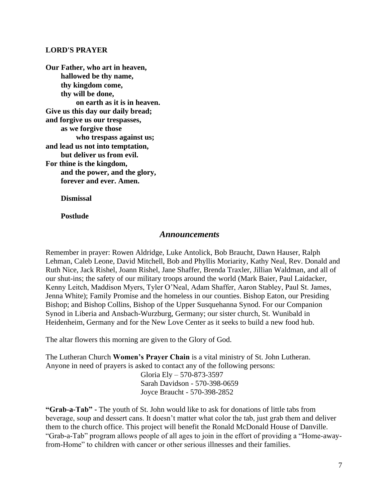#### **LORD'S PRAYER**

**Our Father, who art in heaven, hallowed be thy name, thy kingdom come, thy will be done, on earth as it is in heaven. Give us this day our daily bread; and forgive us our trespasses, as we forgive those who trespass against us; and lead us not into temptation, but deliver us from evil. For thine is the kingdom, and the power, and the glory, forever and ever. Amen.**

**Dismissal** 

**Postlude**

#### *Announcements*

Remember in prayer: Rowen Aldridge, Luke Antolick, Bob Braucht, Dawn Hauser, Ralph Lehman, Caleb Leone, David Mitchell, Bob and Phyllis Moriarity, Kathy Neal, Rev. Donald and Ruth Nice, Jack Rishel, Joann Rishel, Jane Shaffer, Brenda Traxler, Jillian Waldman, and all of our shut-ins; the safety of our military troops around the world (Mark Baier, Paul Laidacker, Kenny Leitch, Maddison Myers, Tyler O'Neal, Adam Shaffer, Aaron Stabley, Paul St. James, Jenna White); Family Promise and the homeless in our counties. Bishop Eaton, our Presiding Bishop; and Bishop Collins, Bishop of the Upper Susquehanna Synod. For our Companion Synod in Liberia and Ansbach-Wurzburg, Germany; our sister church, St. Wunibald in Heidenheim, Germany and for the New Love Center as it seeks to build a new food hub.

The altar flowers this morning are given to the Glory of God.

The Lutheran Church **Women's Prayer Chain** is a vital ministry of St. John Lutheran. Anyone in need of prayers is asked to contact any of the following persons:

> Gloria Ely – 570-873-3597 Sarah Davidson - 570-398-0659 Joyce Braucht - 570-398-2852

**"Grab-a-Tab" -** The youth of St. John would like to ask for donations of little tabs from beverage, soup and dessert cans. It doesn't matter what color the tab, just grab them and deliver them to the church office. This project will benefit the Ronald McDonald House of Danville. "Grab-a-Tab" program allows people of all ages to join in the effort of providing a "Home-awayfrom-Home" to children with cancer or other serious illnesses and their families.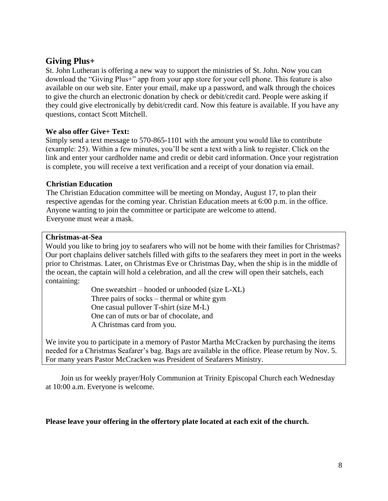## **Giving Plus+**

St. John Lutheran is offering a new way to support the ministries of St. John. Now you can download the "Giving Plus+" app from your app store for your cell phone. This feature is also available on our web site. Enter your email, make up a password, and walk through the choices to give the church an electronic donation by check or debit/credit card. People were asking if they could give electronically by debit/credit card. Now this feature is available. If you have any questions, contact Scott Mitchell.

### **We also offer Give+ Text:**

Simply send a text message to 570-865-1101 with the amount you would like to contribute (example: 25). Within a few minutes, you'll be sent a text with a link to register. Click on the link and enter your cardholder name and credit or debit card information. Once your registration is complete, you will receive a text verification and a receipt of your donation via email.

#### **Christian Education**

The Christian Education committee will be meeting on Monday, August 17, to plan their respective agendas for the coming year. Christian Education meets at 6:00 p.m. in the office. Anyone wanting to join the committee or participate are welcome to attend. Everyone must wear a mask.

#### **Christmas-at-Sea**

Would you like to bring joy to seafarers who will not be home with their families for Christmas? Our port chaplains deliver satchels filled with gifts to the seafarers they meet in port in the weeks prior to Christmas. Later, on Christmas Eve or Christmas Day, when the ship is in the middle of the ocean, the captain will hold a celebration, and all the crew will open their satchels, each containing:

> One sweatshirt – hooded or unhooded (size L-XL) Three pairs of socks – thermal or white gym One casual pullover T-shirt (size M-L) One can of nuts or bar of chocolate, and A Christmas card from you.

We invite you to participate in a memory of Pastor Martha McCracken by purchasing the items needed for a Christmas Seafarer's bag. Bags are available in the office. Please return by Nov. 5. For many years Pastor McCracken was President of Seafarers Ministry.

Join us for weekly prayer/Holy Communion at Trinity Episcopal Church each Wednesday at 10:00 a.m. Everyone is welcome.

## **Please leave your offering in the offertory plate located at each exit of the church.**